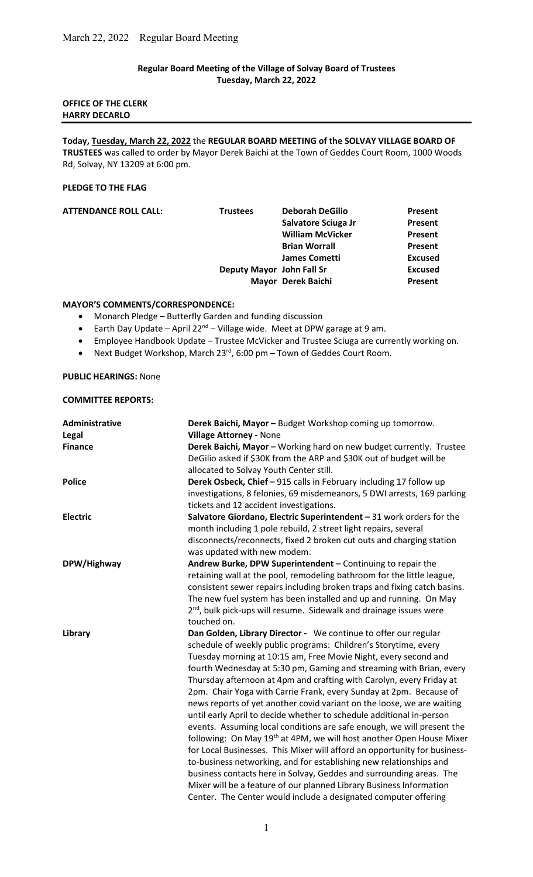# Regular Board Meeting of the Village of Solvay Board of Trustees Tuesday, March 22, 2022

# OFFICE OF THE CLERK HARRY DECARLO

Today, Tuesday, March 22, 2022 the REGULAR BOARD MEETING of the SOLVAY VILLAGE BOARD OF TRUSTEES was called to order by Mayor Derek Baichi at the Town of Geddes Court Room, 1000 Woods Rd, Solvay, NY 13209 at 6:00 pm.

## PLEDGE TO THE FLAG

| <b>ATTENDANCE ROLL CALL:</b> | <b>Trustees</b>           | <b>Deborah DeGilio</b>  | Present        |
|------------------------------|---------------------------|-------------------------|----------------|
|                              |                           | Salvatore Sciuga Jr     | Present        |
|                              |                           | <b>William McVicker</b> | Present        |
|                              |                           | <b>Brian Worrall</b>    | Present        |
|                              |                           | <b>James Cometti</b>    | <b>Excused</b> |
|                              | Deputy Mayor John Fall Sr |                         | <b>Excused</b> |
|                              |                           | Mayor Derek Baichi      | Present        |

## MAYOR'S COMMENTS/CORRESPONDENCE:

- Monarch Pledge Butterfly Garden and funding discussion
- **•** Earth Day Update April 22<sup>nd</sup> Village wide. Meet at DPW garage at 9 am.
- Employee Handbook Update Trustee McVicker and Trustee Sciuga are currently working on.
- Next Budget Workshop, March  $23^{rd}$ , 6:00 pm Town of Geddes Court Room.

#### PUBLIC HEARINGS: None

### COMMITTEE REPORTS:

| Administrative<br>Legal | Derek Baichi, Mayor - Budget Workshop coming up tomorrow.<br><b>Village Attorney - None</b>                                                                                                                                                                                                                                                                                                                                                                                                                                                                                                                                                                                                                                                                                                                                                                                                                                                                                                                                                                                                                    |
|-------------------------|----------------------------------------------------------------------------------------------------------------------------------------------------------------------------------------------------------------------------------------------------------------------------------------------------------------------------------------------------------------------------------------------------------------------------------------------------------------------------------------------------------------------------------------------------------------------------------------------------------------------------------------------------------------------------------------------------------------------------------------------------------------------------------------------------------------------------------------------------------------------------------------------------------------------------------------------------------------------------------------------------------------------------------------------------------------------------------------------------------------|
| <b>Finance</b>          | Derek Baichi, Mayor - Working hard on new budget currently. Trustee<br>DeGilio asked if \$30K from the ARP and \$30K out of budget will be<br>allocated to Solvay Youth Center still.                                                                                                                                                                                                                                                                                                                                                                                                                                                                                                                                                                                                                                                                                                                                                                                                                                                                                                                          |
| <b>Police</b>           | Derek Osbeck, Chief - 915 calls in February including 17 follow up<br>investigations, 8 felonies, 69 misdemeanors, 5 DWI arrests, 169 parking<br>tickets and 12 accident investigations.                                                                                                                                                                                                                                                                                                                                                                                                                                                                                                                                                                                                                                                                                                                                                                                                                                                                                                                       |
| <b>Electric</b>         | Salvatore Giordano, Electric Superintendent - 31 work orders for the<br>month including 1 pole rebuild, 2 street light repairs, several<br>disconnects/reconnects, fixed 2 broken cut outs and charging station<br>was updated with new modem.                                                                                                                                                                                                                                                                                                                                                                                                                                                                                                                                                                                                                                                                                                                                                                                                                                                                 |
| DPW/Highway             | Andrew Burke, DPW Superintendent - Continuing to repair the<br>retaining wall at the pool, remodeling bathroom for the little league,<br>consistent sewer repairs including broken traps and fixing catch basins.<br>The new fuel system has been installed and up and running. On May<br>2 <sup>nd</sup> , bulk pick-ups will resume. Sidewalk and drainage issues were<br>touched on.                                                                                                                                                                                                                                                                                                                                                                                                                                                                                                                                                                                                                                                                                                                        |
| Library                 | Dan Golden, Library Director - We continue to offer our regular<br>schedule of weekly public programs: Children's Storytime, every<br>Tuesday morning at 10:15 am, Free Movie Night, every second and<br>fourth Wednesday at 5:30 pm, Gaming and streaming with Brian, every<br>Thursday afternoon at 4pm and crafting with Carolyn, every Friday at<br>2pm. Chair Yoga with Carrie Frank, every Sunday at 2pm. Because of<br>news reports of yet another covid variant on the loose, we are waiting<br>until early April to decide whether to schedule additional in-person<br>events. Assuming local conditions are safe enough, we will present the<br>following: On May 19 <sup>th</sup> at 4PM, we will host another Open House Mixer<br>for Local Businesses. This Mixer will afford an opportunity for business-<br>to-business networking, and for establishing new relationships and<br>business contacts here in Solvay, Geddes and surrounding areas. The<br>Mixer will be a feature of our planned Library Business Information<br>Center. The Center would include a designated computer offering |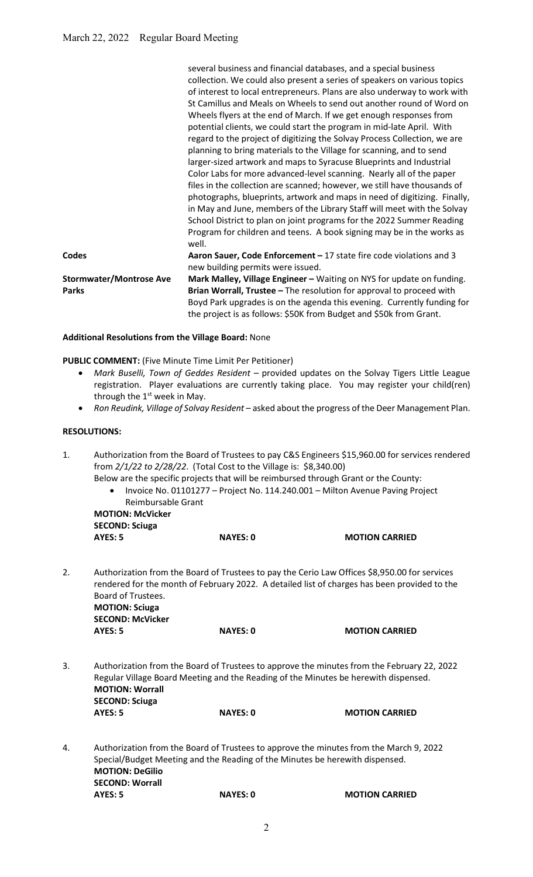|                                | several business and financial databases, and a special business          |
|--------------------------------|---------------------------------------------------------------------------|
|                                | collection. We could also present a series of speakers on various topics  |
|                                | of interest to local entrepreneurs. Plans are also underway to work with  |
|                                | St Camillus and Meals on Wheels to send out another round of Word on      |
|                                | Wheels flyers at the end of March. If we get enough responses from        |
|                                | potential clients, we could start the program in mid-late April. With     |
|                                | regard to the project of digitizing the Solvay Process Collection, we are |
|                                | planning to bring materials to the Village for scanning, and to send      |
|                                | larger-sized artwork and maps to Syracuse Blueprints and Industrial       |
|                                | Color Labs for more advanced-level scanning. Nearly all of the paper      |
|                                | files in the collection are scanned; however, we still have thousands of  |
|                                | photographs, blueprints, artwork and maps in need of digitizing. Finally, |
|                                | in May and June, members of the Library Staff will meet with the Solvay   |
|                                | School District to plan on joint programs for the 2022 Summer Reading     |
|                                | Program for children and teens. A book signing may be in the works as     |
|                                | well.                                                                     |
| <b>Codes</b>                   | Aaron Sauer, Code Enforcement - 17 state fire code violations and 3       |
|                                | new building permits were issued.                                         |
| <b>Stormwater/Montrose Ave</b> | Mark Malley, Village Engineer - Waiting on NYS for update on funding.     |
| <b>Parks</b>                   | Brian Worrall, Trustee - The resolution for approval to proceed with      |
|                                | Boyd Park upgrades is on the agenda this evening. Currently funding for   |
|                                | the project is as follows: \$50K from Budget and \$50k from Grant.        |
|                                |                                                                           |

#### Additional Resolutions from the Village Board: None

PUBLIC COMMENT: (Five Minute Time Limit Per Petitioner)

- Mark Buselli, Town of Geddes Resident provided updates on the Solvay Tigers Little League registration. Player evaluations are currently taking place. You may register your child(ren) through the  $1<sup>st</sup>$  week in May.
- Ron Reudink, Village of Solvay Resident asked about the progress of the Deer Management Plan.

# RESOLUTIONS:

- 1. Authorization from the Board of Trustees to pay C&S Engineers \$15,960.00 for services rendered from 2/1/22 to 2/28/22. (Total Cost to the Village is: \$8,340.00)
	- Below are the specific projects that will be reimbursed through Grant or the County:
		- Invoice No. 01101277 Project No. 114.240.001 Milton Avenue Paving Project Reimbursable Grant

 MOTION: McVicker SECOND: Sciuga

|    | <b>AYES: 5</b>                                                                                                                                                                                | <b>NAYES: 0</b> | <b>MOTION CARRIED</b> |  |
|----|-----------------------------------------------------------------------------------------------------------------------------------------------------------------------------------------------|-----------------|-----------------------|--|
| 2. | Authorization from the Board of Trustees to pay the Cerio Law Offices \$8,950.00 for services<br>rendered for the month of February 2022. A detailed list of charges has been provided to the |                 |                       |  |
|    | Board of Trustees.                                                                                                                                                                            |                 |                       |  |
|    | <b>MOTION: Sciuga</b>                                                                                                                                                                         |                 |                       |  |
|    | <b>SECOND: McVicker</b>                                                                                                                                                                       |                 |                       |  |

AYES: 5 NAYES: 0 MOTION CARRIED

3. Authorization from the Board of Trustees to approve the minutes from the February 22, 2022 Regular Village Board Meeting and the Reading of the Minutes be herewith dispensed. MOTION: Worrall SECOND: Sciuga AYES: 5 NAYES: 0 MOTION CARRIED

4. Authorization from the Board of Trustees to approve the minutes from the March 9, 2022 Special/Budget Meeting and the Reading of the Minutes be herewith dispensed. MOTION: DeGilio SECOND: Worrall AYES: 5 NAYES: 0 MOTION CARRIED